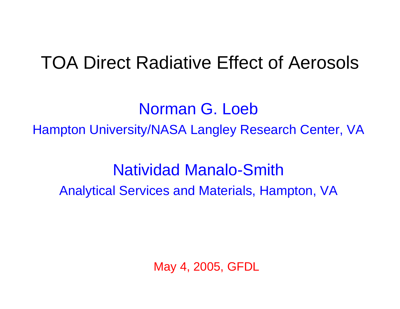# TOA Direct Radiative Effect of Aerosols

Norman G. Loeb Hampton University/NASA Langley Research Center, VA

# Natividad Manalo-Smith Analytical Services and Materials, Hampton, VA

May 4, 2005, GFDL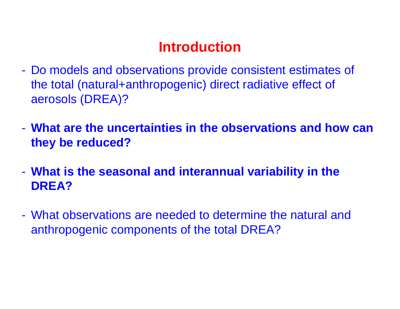## **Introduction**

- Do models and observations provide consistent estimates of the total (natural+anthropogenic) direct radiative effect of aerosols (DREA)?
- **What are the uncertainties in the observations and how can they be reduced?**
- - **What is the seasonal and interannual variability in the DREA?**
- What observations are needed to determine the natural and anthropogenic components of the total DREA?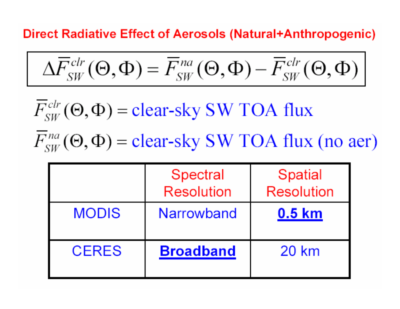Direct Radiative Effect of Aerosols (Natural+Anthropogenic)

$$
\Delta \overline{F}_{SW}^{chr}(\Theta, \Phi) = \overline{F}_{SW}^{na}(\Theta, \Phi) - \overline{F}_{SW}^{chr}(\Theta, \Phi)
$$

 $\overline{F}_{\text{sw}}^{\text{chr}}(\Theta, \Phi)$  = clear-sky SW TOA flux

 $\overline{F}_{\rm sw}^{na}(\Theta, \Phi)$  = clear-sky SW TOA flux (no aer)

|              | Spectral<br><b>Resolution</b> | Spatial<br><b>Resolution</b> |
|--------------|-------------------------------|------------------------------|
| <b>MODIS</b> | Narrowband                    | 0.5 km                       |
| <b>CERES</b> | <b>Broadband</b>              | 20 km                        |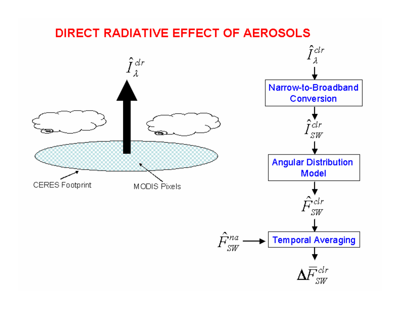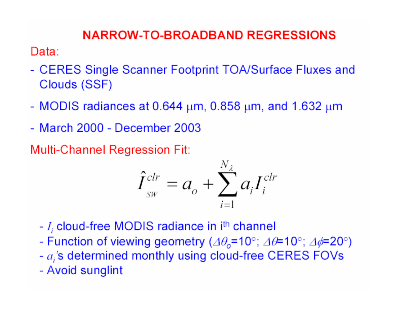## **NARROW-TO-BROADBAND REGRESSIONS**

Data:

- CERES Single Scanner Footprint TOA/Surface Fluxes and Clouds (SSF)
- MODIS radiances at 0.644  $\mu$ m, 0.858  $\mu$ m, and 1.632  $\mu$ m
- March 2000 December 2003

**Multi-Channel Regression Fit:** 

$$
\hat{I}_{\scriptscriptstyle SW}^{clr}=a_{\scriptscriptstyle O}^{\scriptscriptstyle O}+\sum_{\scriptscriptstyle i=1}^{N_{\lambda}}a_{\scriptscriptstyle i}^{\scriptscriptstyle I}I_{\scriptscriptstyle i}^{clr}
$$

- $I_i$  cloud-free MODIS radiance in  $i<sup>th</sup>$  channel
- Function of viewing geometry ( $\Delta\theta$ <sub>o</sub>=10°;  $\Delta\theta$ =10°;  $\Delta\phi$ =20°)
- $a_i$ 's determined monthly using cloud-free CERES FOVs
- Avoid sunglint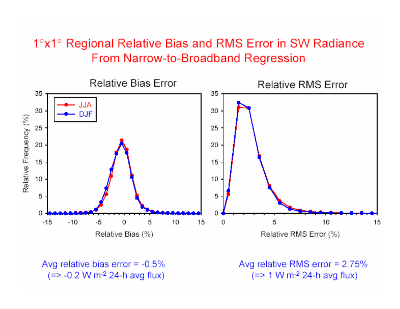#### 1°x1° Regional Relative Bias and RMS Error in SW Radiance From Narrow-to-Broadband Regression



Avg relative bias error =  $-0.5\%$  $(== -0.2 W m<sup>-2</sup> 24-h avg flux)$ 

Avg relative RMS error = 2.75%  $(== 1 W m<sup>-2</sup> 24-h avg flux)$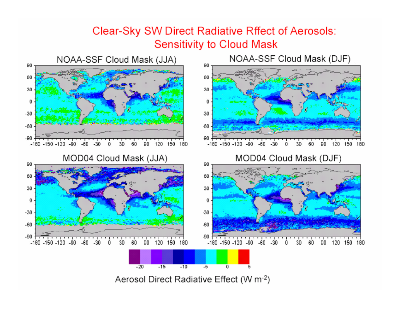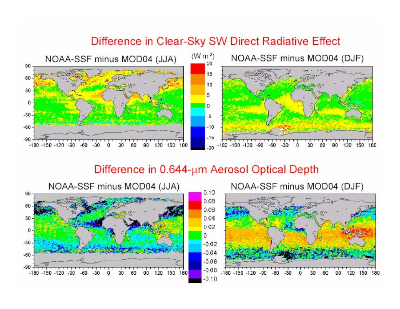#### Difference in Clear-Sky SW Direct Radiative Effect



#### Difference in 0.644-um Aerosol Optical Depth

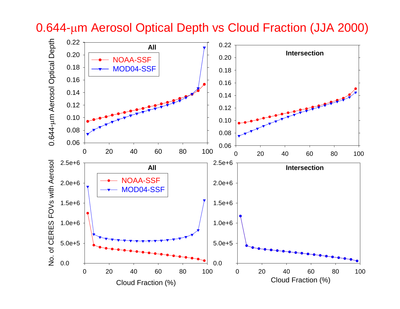#### 0.644- μm Aerosol Optical Depth vs Cloud Fraction (JJA 2000)

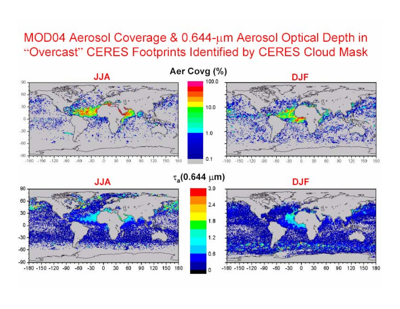#### MOD04 Aerosol Coverage & 0.644-µm Aerosol Optical Depth in "Overcast" CERES Footprints Identified by CERES Cloud Mask



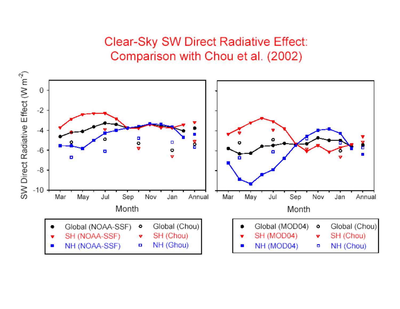#### Clear-Sky SW Direct Radiative Effect: Comparison with Chou et al. (2002)

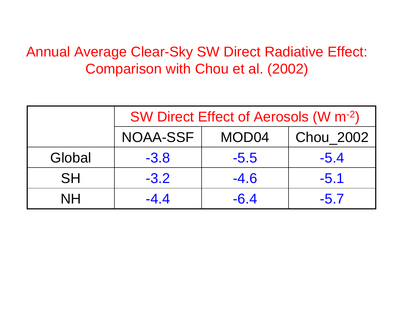## Annual Average Clear-Sky SW Direct Radiative Effect: Comparison with Chou et al. (2002)

|           | SW Direct Effect of Aerosols (W m-2) |        |                  |  |
|-----------|--------------------------------------|--------|------------------|--|
|           | <b>NOAA-SSF</b>                      | MOD04  | <b>Chou 2002</b> |  |
| Global    | $-3.8$                               | $-5.5$ | $-5.4$           |  |
| <b>SH</b> | $-3.2$                               | $-4.6$ | $-5.1$           |  |
| NH        | $-4.4$                               | $-6.4$ | $-5.7$           |  |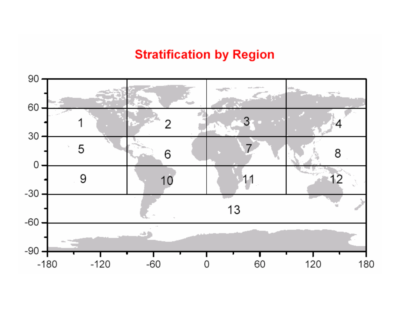### **Stratification by Region**

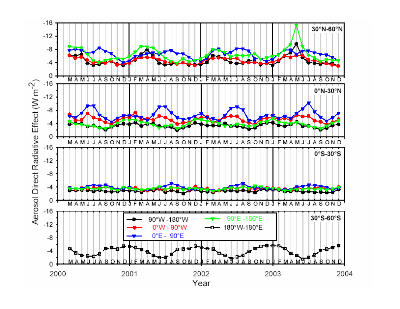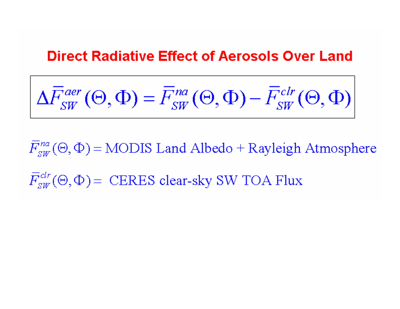### **Direct Radiative Effect of Aerosols Over Land**

$$
\Delta \overline{F}_{\rm SW}^{aer}(\Theta, \Phi) = \overline{F}_{\rm SW}^{na}(\Theta, \Phi) - \overline{F}_{\rm SW}^{clr}(\Theta, \Phi)
$$

 $\overline{F}_{\text{sur}}^{na}(\Theta,\Phi)$  = MODIS Land Albedo + Rayleigh Atmosphere  $\overline{F}_{\text{sw}}^{clr}(\Theta,\Phi)$  = CERES clear-sky SW TOA Flux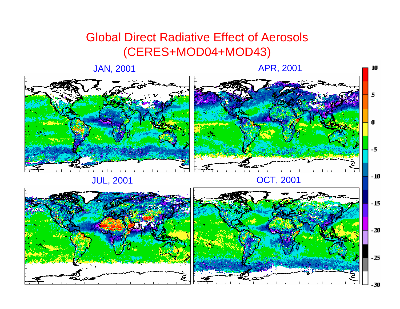#### Global Direct Radiative Effect of Aerosols (CERES+MOD04+MOD43)

10

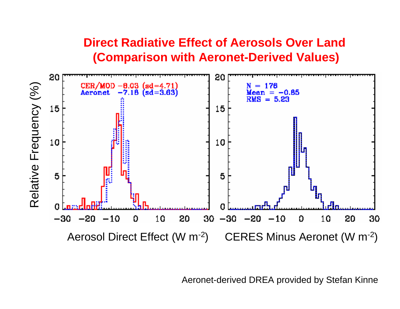#### **Direct Radiative Effect of Aerosols Over Land (Comparison with Aeronet-Derived Values)**



Aeronet-derived DREA provided by Stefan Kinne